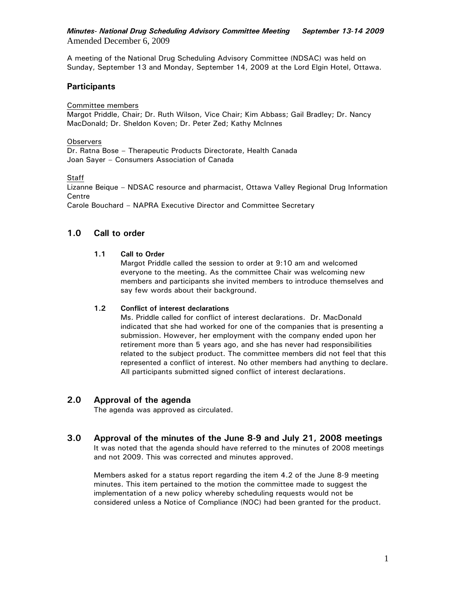## *Minutes- National Drug Scheduling Advisory Committee Meeting**September 13-14 2009*  Amended December 6, 2009

A meeting of the National Drug Scheduling Advisory Committee (NDSAC) was held on Sunday, September 13 and Monday, September 14, 2009 at the Lord Elgin Hotel, Ottawa.

# **Participants**

Committee members

Margot Priddle, Chair; Dr. Ruth Wilson, Vice Chair; Kim Abbass; Gail Bradley; Dr. Nancy MacDonald; Dr. Sheldon Koven; Dr. Peter Zed; Kathy McInnes

#### **Observers**

Dr. Ratna Bose – Therapeutic Products Directorate, Health Canada Joan Sayer – Consumers Association of Canada

**Staff** 

Lizanne Beique – NDSAC resource and pharmacist, Ottawa Valley Regional Drug Information **Centre** 

Carole Bouchard – NAPRA Executive Director and Committee Secretary

# **1.0 Call to order**

## **1.1 Call to Order**

Margot Priddle called the session to order at 9:10 am and welcomed everyone to the meeting. As the committee Chair was welcoming new members and participants she invited members to introduce themselves and say few words about their background.

## **1.2 Conflict of interest declarations**

Ms. Priddle called for conflict of interest declarations. Dr. MacDonald indicated that she had worked for one of the companies that is presenting a submission. However, her employment with the company ended upon her retirement more than 5 years ago, and she has never had responsibilities related to the subject product. The committee members did not feel that this represented a conflict of interest. No other members had anything to declare. All participants submitted signed conflict of interest declarations.

# **2.0 Approval of the agenda**

The agenda was approved as circulated.

**3.0 Approval of the minutes of the June 8-9 and July 21, 2008 meetings**  It was noted that the agenda should have referred to the minutes of 2008 meetings and not 2009. This was corrected and minutes approved.

Members asked for a status report regarding the item 4.2 of the June 8-9 meeting minutes. This item pertained to the motion the committee made to suggest the implementation of a new policy whereby scheduling requests would not be considered unless a Notice of Compliance (NOC) had been granted for the product.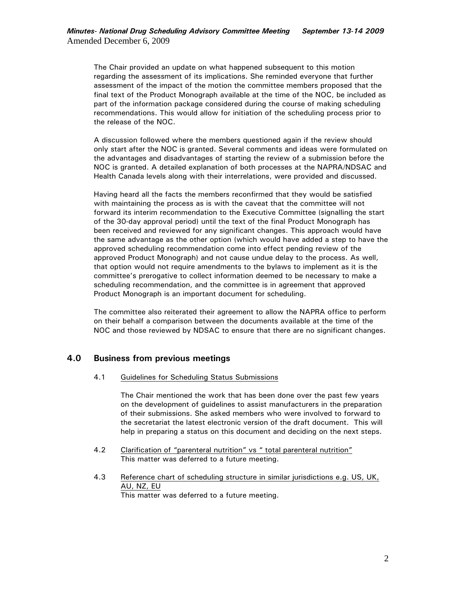The Chair provided an update on what happened subsequent to this motion regarding the assessment of its implications. She reminded everyone that further assessment of the impact of the motion the committee members proposed that the final text of the Product Monograph available at the time of the NOC, be included as part of the information package considered during the course of making scheduling recommendations. This would allow for initiation of the scheduling process prior to the release of the NOC.

A discussion followed where the members questioned again if the review should only start after the NOC is granted. Several comments and ideas were formulated on the advantages and disadvantages of starting the review of a submission before the NOC is granted. A detailed explanation of both processes at the NAPRA/NDSAC and Health Canada levels along with their interrelations, were provided and discussed.

Having heard all the facts the members reconfirmed that they would be satisfied with maintaining the process as is with the caveat that the committee will not forward its interim recommendation to the Executive Committee (signalling the start of the 30-day approval period) until the text of the final Product Monograph has been received and reviewed for any significant changes. This approach would have the same advantage as the other option (which would have added a step to have the approved scheduling recommendation come into effect pending review of the approved Product Monograph) and not cause undue delay to the process. As well, that option would not require amendments to the bylaws to implement as it is the committee's prerogative to collect information deemed to be necessary to make a scheduling recommendation, and the committee is in agreement that approved Product Monograph is an important document for scheduling.

The committee also reiterated their agreement to allow the NAPRA office to perform on their behalf a comparison between the documents available at the time of the NOC and those reviewed by NDSAC to ensure that there are no significant changes.

# **4.0 Business from previous meetings**

#### 4.1 Guidelines for Scheduling Status Submissions

The Chair mentioned the work that has been done over the past few years on the development of guidelines to assist manufacturers in the preparation of their submissions. She asked members who were involved to forward to the secretariat the latest electronic version of the draft document. This will help in preparing a status on this document and deciding on the next steps.

- 4.2 Clarification of "parenteral nutrition" vs " total parenteral nutrition" This matter was deferred to a future meeting.
- 4.3 Reference chart of scheduling structure in similar jurisdictions e.g. US, UK, AU, NZ, EU

This matter was deferred to a future meeting.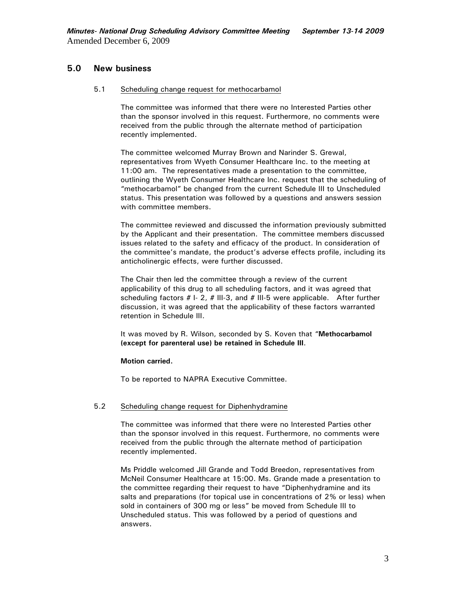# **5.0 New business**

#### 5.1 Scheduling change request for methocarbamol

The committee was informed that there were no Interested Parties other than the sponsor involved in this request. Furthermore, no comments were received from the public through the alternate method of participation recently implemented.

The committee welcomed Murray Brown and Narinder S. Grewal, representatives from Wyeth Consumer Healthcare Inc. to the meeting at 11:00 am. The representatives made a presentation to the committee, outlining the Wyeth Consumer Healthcare Inc. request that the scheduling of "methocarbamol" be changed from the current Schedule III to Unscheduled status. This presentation was followed by a questions and answers session with committee members.

The committee reviewed and discussed the information previously submitted by the Applicant and their presentation. The committee members discussed issues related to the safety and efficacy of the product. In consideration of the committee's mandate, the product's adverse effects profile, including its anticholinergic effects, were further discussed.

The Chair then led the committee through a review of the current applicability of this drug to all scheduling factors, and it was agreed that scheduling factors # I- 2, # III-3, and # III-5 were applicable. After further discussion, it was agreed that the applicability of these factors warranted retention in Schedule III.

It was moved by R. Wilson, seconded by S. Koven that "**Methocarbamol (except for parenteral use) be retained in Schedule III**.

#### **Motion carried.**

To be reported to NAPRA Executive Committee.

#### 5.2 Scheduling change request for Diphenhydramine

The committee was informed that there were no Interested Parties other than the sponsor involved in this request. Furthermore, no comments were received from the public through the alternate method of participation recently implemented.

Ms Priddle welcomed Jill Grande and Todd Breedon, representatives from McNeil Consumer Healthcare at 15:00. Ms. Grande made a presentation to the committee regarding their request to have "Diphenhydramine and its salts and preparations (for topical use in concentrations of 2% or less) when sold in containers of 300 mg or less" be moved from Schedule III to Unscheduled status. This was followed by a period of questions and answers.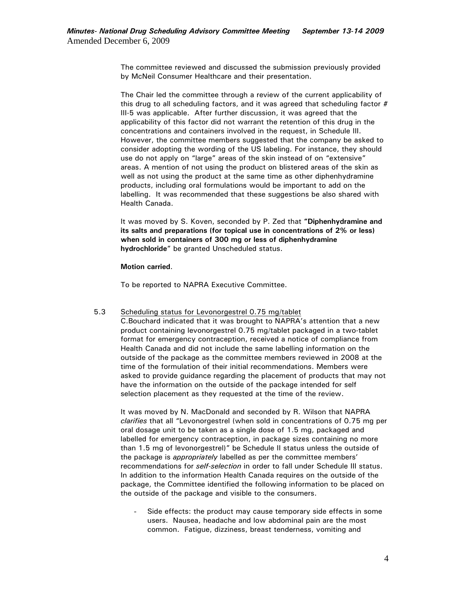The committee reviewed and discussed the submission previously provided by McNeil Consumer Healthcare and their presentation.

The Chair led the committee through a review of the current applicability of this drug to all scheduling factors, and it was agreed that scheduling factor  $#$ III-5 was applicable. After further discussion, it was agreed that the applicability of this factor did not warrant the retention of this drug in the concentrations and containers involved in the request, in Schedule III. However, the committee members suggested that the company be asked to consider adopting the wording of the US labeling. For instance, they should use do not apply on "large" areas of the skin instead of on "extensive" areas. A mention of not using the product on blistered areas of the skin as well as not using the product at the same time as other diphenhydramine products, including oral formulations would be important to add on the labelling. It was recommended that these suggestions be also shared with Health Canada.

It was moved by S. Koven, seconded by P. Zed that **"Diphenhydramine and its salts and preparations (for topical use in concentrations of 2% or less) when sold in containers of 300 mg or less of diphenhydramine hydrochloride**" be granted Unscheduled status.

**Motion carried**.

To be reported to NAPRA Executive Committee.

#### 5.3 Scheduling status for Levonorgestrel 0.75 mg/tablet

C.Bouchard indicated that it was brought to NAPRA's attention that a new product containing levonorgestrel 0.75 mg/tablet packaged in a two-tablet format for emergency contraception, received a notice of compliance from Health Canada and did not include the same labelling information on the outside of the package as the committee members reviewed in 2008 at the time of the formulation of their initial recommendations. Members were asked to provide guidance regarding the placement of products that may not have the information on the outside of the package intended for self selection placement as they requested at the time of the review.

It was moved by N. MacDonald and seconded by R. Wilson that NAPRA *clarifies* that all "Levonorgestrel (when sold in concentrations of 0.75 mg per oral dosage unit to be taken as a single dose of 1.5 mg, packaged and labelled for emergency contraception, in package sizes containing no more than 1.5 mg of levonorgestrel)" be Schedule II status unless the outside of the package is *appropriately* labelled as per the committee members' recommendations for *self-selection* in order to fall under Schedule III status. In addition to the information Health Canada requires on the outside of the package, the Committee identified the following information to be placed on the outside of the package and visible to the consumers.

- Side effects: the product may cause temporary side effects in some users. Nausea, headache and low abdominal pain are the most common. Fatigue, dizziness, breast tenderness, vomiting and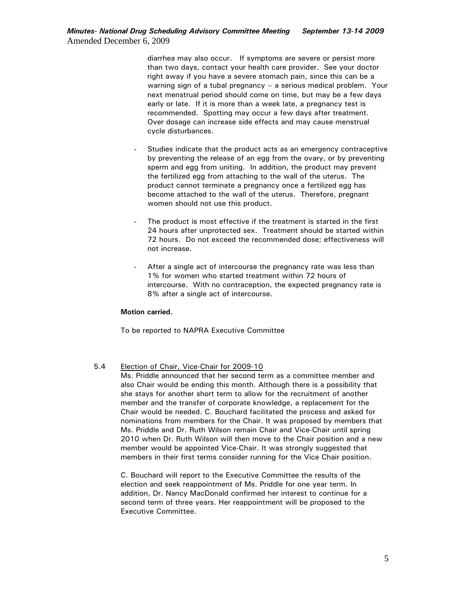## *Minutes- National Drug Scheduling Advisory Committee Meeting**September 13-14 2009*  Amended December 6, 2009

diarrhea may also occur. If symptoms are severe or persist more than two days, contact your health care provider. See your doctor right away if you have a severe stomach pain, since this can be a warning sign of a tubal pregnancy – a serious medical problem. Your next menstrual period should come on time, but may be a few days early or late. If it is more than a week late, a pregnancy test is recommended. Spotting may occur a few days after treatment. Over dosage can increase side effects and may cause menstrual cycle disturbances.

- Studies indicate that the product acts as an emergency contraceptive by preventing the release of an egg from the ovary, or by preventing sperm and egg from uniting. In addition, the product may prevent the fertilized egg from attaching to the wall of the uterus. The product cannot terminate a pregnancy once a fertilized egg has become attached to the wall of the uterus. Therefore, pregnant women should not use this product.
- The product is most effective if the treatment is started in the first 24 hours after unprotected sex. Treatment should be started within 72 hours. Do not exceed the recommended dose; effectiveness will not increase.
- After a single act of intercourse the pregnancy rate was less than 1% for women who started treatment within 72 hours of intercourse. With no contraception, the expected pregnancy rate is 8% after a single act of intercourse.

#### **Motion carried.**

To be reported to NAPRA Executive Committee

## 5.4 Election of Chair, Vice-Chair for 2009-10

Ms. Priddle announced that her second term as a committee member and also Chair would be ending this month. Although there is a possibility that she stays for another short term to allow for the recruitment of another member and the transfer of corporate knowledge, a replacement for the Chair would be needed. C. Bouchard facilitated the process and asked for nominations from members for the Chair. It was proposed by members that Ms. Priddle and Dr. Ruth Wilson remain Chair and Vice-Chair until spring 2010 when Dr. Ruth Wilson will then move to the Chair position and a new member would be appointed Vice-Chair. It was strongly suggested that members in their first terms consider running for the Vice Chair position.

C. Bouchard will report to the Executive Committee the results of the election and seek reappointment of Ms. Priddle for one year term. In addition, Dr. Nancy MacDonald confirmed her interest to continue for a second term of three years. Her reappointment will be proposed to the Executive Committee.